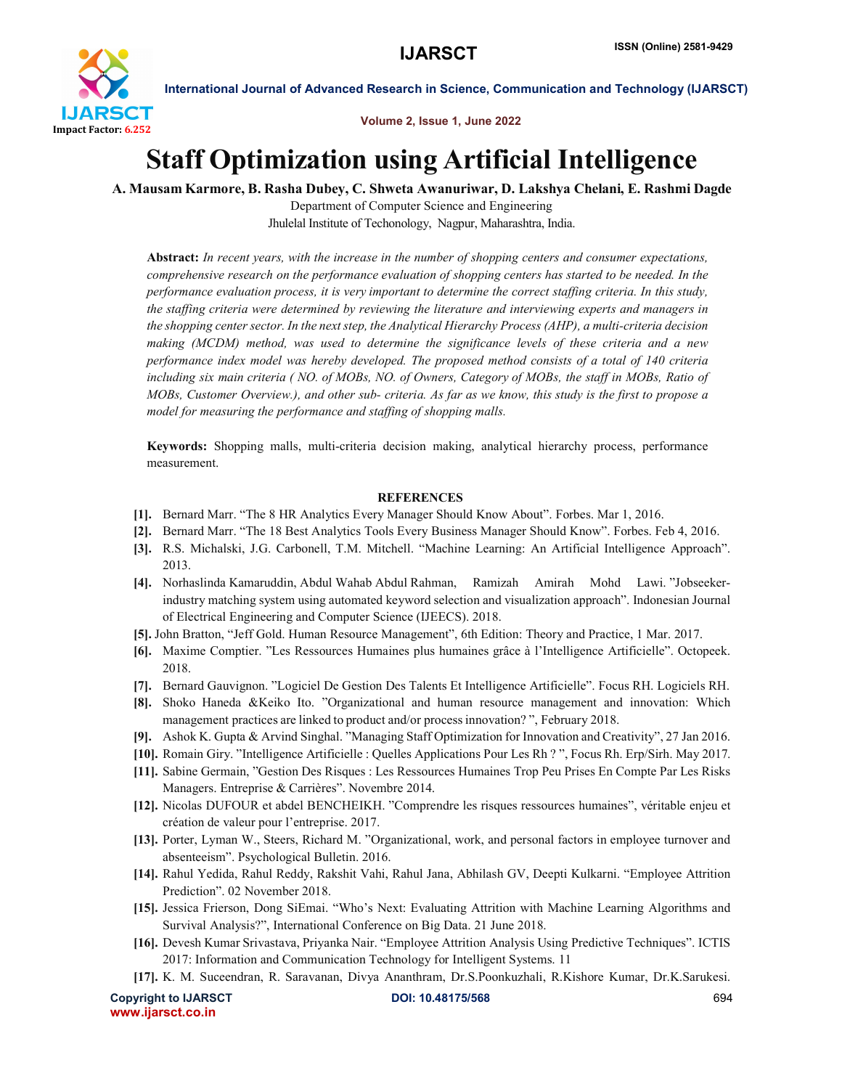

International Journal of Advanced Research in Science, Communication and Technology (IJARSCT)

Volume 2, Issue 1, June 2022

# Staff Optimization using Artificial Intelligence

A. Mausam Karmore, B. Rasha Dubey, C. Shweta Awanuriwar, D. Lakshya Chelani, E. Rashmi Dagde

Department of Computer Science and Engineering Jhulelal Institute of Techonology, Nagpur, Maharashtra, India.

Abstract: *In recent years, with the increase in the number of shopping centers and consumer expectations, comprehensive research on the performance evaluation of shopping centers has started to be needed. In the performance evaluation process, it is very important to determine the correct staffing criteria. In this study, the staffing criteria were determined by reviewing the literature and interviewing experts and managers in the shopping center sector. In the next step, the Analytical Hierarchy Process (AHP), a multi-criteria decision making (MCDM) method, was used to determine the significance levels of these criteria and a new performance index model was hereby developed. The proposed method consists of a total of 140 criteria including six main criteria ( NO. of MOBs, NO. of Owners, Category of MOBs, the staff in MOBs, Ratio of MOBs, Customer Overview.), and other sub- criteria. As far as we know, this study is the first to propose a model for measuring the performance and staffing of shopping malls.*

Keywords: Shopping malls, multi-criteria decision making, analytical hierarchy process, performance measurement.

### **REFERENCES**

- [1]. Bernard Marr. "The 8 HR Analytics Every Manager Should Know About". Forbes. Mar 1, 2016.
- [2]. Bernard Marr. "The 18 Best Analytics Tools Every Business Manager Should Know". Forbes. Feb 4, 2016.
- [3]. R.S. Michalski, J.G. Carbonell, T.M. Mitchell. "Machine Learning: An Artificial Intelligence Approach". 2013.
- [4]. Norhaslinda Kamaruddin, Abdul Wahab Abdul Rahman, Ramizah Amirah Mohd Lawi. "Jobseekerindustry matching system using automated keyword selection and visualization approach". Indonesian Journal of Electrical Engineering and Computer Science (IJEECS). 2018.
- [5]. John Bratton, "Jeff Gold. Human Resource Management", 6th Edition: Theory and Practice, 1 Mar. 2017.
- [6]. Maxime Comptier. "Les Ressources Humaines plus humaines grâce à l'Intelligence Artificielle". Octopeek. 2018.
- [7]. Bernard Gauvignon. "Logiciel De Gestion Des Talents Et Intelligence Artificielle". Focus RH. Logiciels RH.
- [8]. Shoko Haneda &Keiko Ito. "Organizational and human resource management and innovation: Which management practices are linked to product and/or processinnovation? ", February 2018.
- [9]. Ashok K. Gupta & Arvind Singhal. "Managing Staff Optimization for Innovation and Creativity", 27 Jan 2016.
- [10]. Romain Giry. "Intelligence Artificielle : Quelles Applications Pour Les Rh ? ", Focus Rh. Erp/Sirh. May 2017.
- [11]. Sabine Germain, "Gestion Des Risques : Les Ressources Humaines Trop Peu Prises En Compte Par Les Risks Managers. Entreprise & Carrières". Novembre 2014.
- [12]. Nicolas DUFOUR et abdel BENCHEIKH. "Comprendre les risques ressources humaines", véritable enjeu et création de valeur pour l'entreprise. 2017.
- [13]. Porter, Lyman W., Steers, Richard M. "Organizational, work, and personal factors in employee turnover and absenteeism". Psychological Bulletin. 2016.
- [14]. Rahul Yedida, Rahul Reddy, Rakshit Vahi, Rahul Jana, Abhilash GV, Deepti Kulkarni. "Employee Attrition Prediction". 02 November 2018.
- [15]. Jessica Frierson, Dong SiEmai. "Who's Next: Evaluating Attrition with Machine Learning Algorithms and Survival Analysis?", International Conference on Big Data. 21 June 2018.
- [16]. Devesh Kumar Srivastava, Priyanka Nair. "Employee Attrition Analysis Using Predictive Techniques". ICTIS 2017: Information and Communication Technology for Intelligent Systems. 11
- [17]. K. M. Suceendran, R. Saravanan, Divya Ananthram, Dr.S.Poonkuzhali, R.Kishore Kumar, Dr.K.Sarukesi.